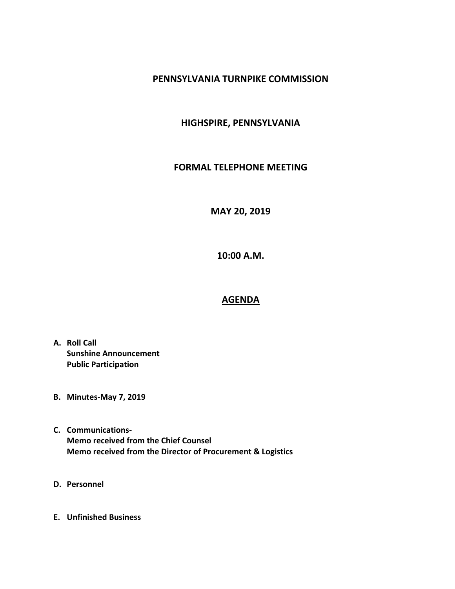## **PENNSYLVANIA TURNPIKE COMMISSION**

## **HIGHSPIRE, PENNSYLVANIA**

## **FORMAL TELEPHONE MEETING**

**MAY 20, 2019**

**10:00 A.M.**

## **AGENDA**

- **A. Roll Call Sunshine Announcement Public Participation**
- **B. Minutes-May 7, 2019**
- **C. Communications-Memo received from the Chief Counsel Memo received from the Director of Procurement & Logistics**
- **D. Personnel**
- **E. Unfinished Business**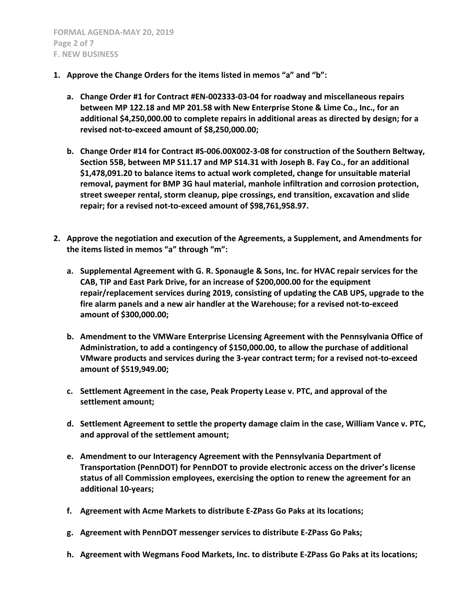- **1. Approve the Change Orders for the items listed in memos "a" and "b":**
	- **a. Change Order #1 for Contract #EN-002333-03-04 for roadway and miscellaneous repairs between MP 122.18 and MP 201.58 with New Enterprise Stone & Lime Co., Inc., for an additional \$4,250,000.00 to complete repairs in additional areas as directed by design; for a revised not-to-exceed amount of \$8,250,000.00;**
	- **b. Change Order #14 for Contract #S-006.00X002-3-08 for construction of the Southern Beltway, Section 55B, between MP S11.17 and MP S14.31 with Joseph B. Fay Co., for an additional \$1,478,091.20 to balance items to actual work completed, change for unsuitable material removal, payment for BMP 3G haul material, manhole infiltration and corrosion protection, street sweeper rental, storm cleanup, pipe crossings, end transition, excavation and slide repair; for a revised not-to-exceed amount of \$98,761,958.97.**
- **2. Approve the negotiation and execution of the Agreements, a Supplement, and Amendments for the items listed in memos "a" through "m":**
	- **a. Supplemental Agreement with G. R. Sponaugle & Sons, Inc. for HVAC repair services for the CAB, TIP and East Park Drive, for an increase of \$200,000.00 for the equipment repair/replacement services during 2019, consisting of updating the CAB UPS, upgrade to the fire alarm panels and a new air handler at the Warehouse; for a revised not-to-exceed amount of \$300,000.00;**
	- **b. Amendment to the VMWare Enterprise Licensing Agreement with the Pennsylvania Office of Administration, to add a contingency of \$150,000.00, to allow the purchase of additional VMware products and services during the 3-year contract term; for a revised not-to-exceed amount of \$519,949.00;**
	- **c. Settlement Agreement in the case, Peak Property Lease v. PTC, and approval of the settlement amount;**
	- **d. Settlement Agreement to settle the property damage claim in the case, William Vance v. PTC, and approval of the settlement amount;**
	- **e. Amendment to our Interagency Agreement with the Pennsylvania Department of Transportation (PennDOT) for PennDOT to provide electronic access on the driver's license status of all Commission employees, exercising the option to renew the agreement for an additional 10-years;**
	- **f. Agreement with Acme Markets to distribute E-ZPass Go Paks at its locations;**
	- **g. Agreement with PennDOT messenger services to distribute E-ZPass Go Paks;**
	- **h. Agreement with Wegmans Food Markets, Inc. to distribute E-ZPass Go Paks at its locations;**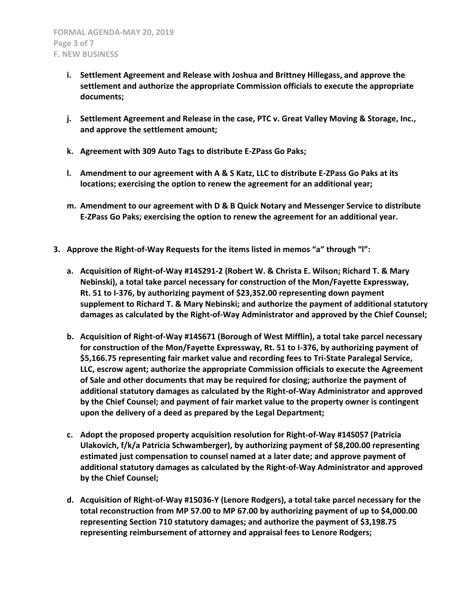- **i. Settlement Agreement and Release with Joshua and Brittney Hillegass, and approve the settlement and authorize the appropriate Commission officials to execute the appropriate documents;**
- **j. Settlement Agreement and Release in the case, PTC v. Great Valley Moving & Storage, Inc., and approve the settlement amount;**
- **k. Agreement with 309 Auto Tags to distribute E-ZPass Go Paks;**
- **l. Amendment to our agreement with A & S Katz, LLC to distribute E-ZPass Go Paks at its locations; exercising the option to renew the agreement for an additional year;**
- **m. Amendment to our agreement with D & B Quick Notary and Messenger Service to distribute E-ZPass Go Paks; exercising the option to renew the agreement for an additional year.**
- **3. Approve the Right-of-Way Requests for the items listed in memos "a" through "l":**
	- **a. Acquisition of Right-of-Way #14S291-2 (Robert W. & Christa E. Wilson; Richard T. & Mary Nebinski), a total take parcel necessary for construction of the Mon/Fayette Expressway, Rt. 51 to I-376, by authorizing payment of \$23,352.00 representing down payment supplement to Richard T. & Mary Nebinski; and authorize the payment of additional statutory damages as calculated by the Right-of-Way Administrator and approved by the Chief Counsel;**
	- **b. Acquisition of Right-of-Way #14S671 (Borough of West Mifflin), a total take parcel necessary for construction of the Mon/Fayette Expressway, Rt. 51 to I-376, by authorizing payment of \$5,166.75 representing fair market value and recording fees to Tri-State Paralegal Service, LLC, escrow agent; authorize the appropriate Commission officials to execute the Agreement of Sale and other documents that may be required for closing; authorize the payment of additional statutory damages as calculated by the Right-of-Way Administrator and approved by the Chief Counsel; and payment of fair market value to the property owner is contingent upon the delivery of a deed as prepared by the Legal Department;**
	- **c. Adopt the proposed property acquisition resolution for Right-of-Way #14S057 (Patricia Ulakovich, f/k/a Patricia Schwamberger), by authorizing payment of \$8,200.00 representing estimated just compensation to counsel named at a later date; and approve payment of additional statutory damages as calculated by the Right-of-Way Administrator and approved by the Chief Counsel;**
	- **d. Acquisition of Right-of-Way #15036-Y (Lenore Rodgers), a total take parcel necessary for the total reconstruction from MP 57.00 to MP 67.00 by authorizing payment of up to \$4,000.00 representing Section 710 statutory damages; and authorize the payment of \$3,198.75 representing reimbursement of attorney and appraisal fees to Lenore Rodgers;**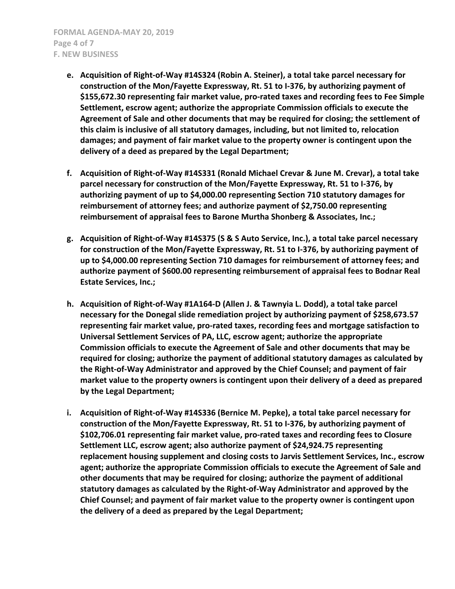- **e. Acquisition of Right-of-Way #14S324 (Robin A. Steiner), a total take parcel necessary for construction of the Mon/Fayette Expressway, Rt. 51 to I-376, by authorizing payment of \$155,672.30 representing fair market value, pro-rated taxes and recording fees to Fee Simple Settlement, escrow agent; authorize the appropriate Commission officials to execute the Agreement of Sale and other documents that may be required for closing; the settlement of this claim is inclusive of all statutory damages, including, but not limited to, relocation damages; and payment of fair market value to the property owner is contingent upon the delivery of a deed as prepared by the Legal Department;**
- **f. Acquisition of Right-of-Way #14S331 (Ronald Michael Crevar & June M. Crevar), a total take parcel necessary for construction of the Mon/Fayette Expressway, Rt. 51 to I-376, by authorizing payment of up to \$4,000.00 representing Section 710 statutory damages for reimbursement of attorney fees; and authorize payment of \$2,750.00 representing reimbursement of appraisal fees to Barone Murtha Shonberg & Associates, Inc.;**
- **g. Acquisition of Right-of-Way #14S375 (S & S Auto Service, Inc.), a total take parcel necessary for construction of the Mon/Fayette Expressway, Rt. 51 to I-376, by authorizing payment of up to \$4,000.00 representing Section 710 damages for reimbursement of attorney fees; and authorize payment of \$600.00 representing reimbursement of appraisal fees to Bodnar Real Estate Services, Inc.;**
- **h. Acquisition of Right-of-Way #1A164-D (Allen J. & Tawnyia L. Dodd), a total take parcel necessary for the Donegal slide remediation project by authorizing payment of \$258,673.57 representing fair market value, pro-rated taxes, recording fees and mortgage satisfaction to Universal Settlement Services of PA, LLC, escrow agent; authorize the appropriate Commission officials to execute the Agreement of Sale and other documents that may be required for closing; authorize the payment of additional statutory damages as calculated by the Right-of-Way Administrator and approved by the Chief Counsel; and payment of fair market value to the property owners is contingent upon their delivery of a deed as prepared by the Legal Department;**
- **i. Acquisition of Right-of-Way #14S336 (Bernice M. Pepke), a total take parcel necessary for construction of the Mon/Fayette Expressway, Rt. 51 to I-376, by authorizing payment of \$102,706.01 representing fair market value, pro-rated taxes and recording fees to Closure Settlement LLC, escrow agent; also authorize payment of \$24,924.75 representing replacement housing supplement and closing costs to Jarvis Settlement Services, Inc., escrow agent; authorize the appropriate Commission officials to execute the Agreement of Sale and other documents that may be required for closing; authorize the payment of additional statutory damages as calculated by the Right-of-Way Administrator and approved by the Chief Counsel; and payment of fair market value to the property owner is contingent upon the delivery of a deed as prepared by the Legal Department;**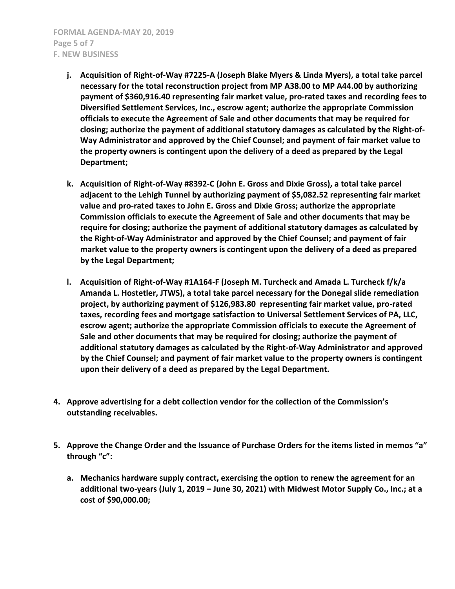- **j. Acquisition of Right-of-Way #7225-A (Joseph Blake Myers & Linda Myers), a total take parcel necessary for the total reconstruction project from MP A38.00 to MP A44.00 by authorizing payment of \$360,916.40 representing fair market value, pro-rated taxes and recording fees to Diversified Settlement Services, Inc., escrow agent; authorize the appropriate Commission officials to execute the Agreement of Sale and other documents that may be required for closing; authorize the payment of additional statutory damages as calculated by the Right-of-Way Administrator and approved by the Chief Counsel; and payment of fair market value to the property owners is contingent upon the delivery of a deed as prepared by the Legal Department;**
- **k. Acquisition of Right-of-Way #8392-C (John E. Gross and Dixie Gross), a total take parcel adjacent to the Lehigh Tunnel by authorizing payment of \$5,082.52 representing fair market value and pro-rated taxes to John E. Gross and Dixie Gross; authorize the appropriate Commission officials to execute the Agreement of Sale and other documents that may be require for closing; authorize the payment of additional statutory damages as calculated by the Right-of-Way Administrator and approved by the Chief Counsel; and payment of fair market value to the property owners is contingent upon the delivery of a deed as prepared by the Legal Department;**
- **l. Acquisition of Right-of-Way #1A164-F (Joseph M. Turcheck and Amada L. Turcheck f/k/a Amanda L. Hostetler, JTWS), a total take parcel necessary for the Donegal slide remediation project, by authorizing payment of \$126,983.80 representing fair market value, pro-rated taxes, recording fees and mortgage satisfaction to Universal Settlement Services of PA, LLC, escrow agent; authorize the appropriate Commission officials to execute the Agreement of Sale and other documents that may be required for closing; authorize the payment of additional statutory damages as calculated by the Right-of-Way Administrator and approved by the Chief Counsel; and payment of fair market value to the property owners is contingent upon their delivery of a deed as prepared by the Legal Department.**
- **4. Approve advertising for a debt collection vendor for the collection of the Commission's outstanding receivables.**
- **5. Approve the Change Order and the Issuance of Purchase Orders for the items listed in memos "a" through "c":**
	- **a. Mechanics hardware supply contract, exercising the option to renew the agreement for an additional two-years (July 1, 2019 – June 30, 2021) with Midwest Motor Supply Co., Inc.; at a cost of \$90,000.00;**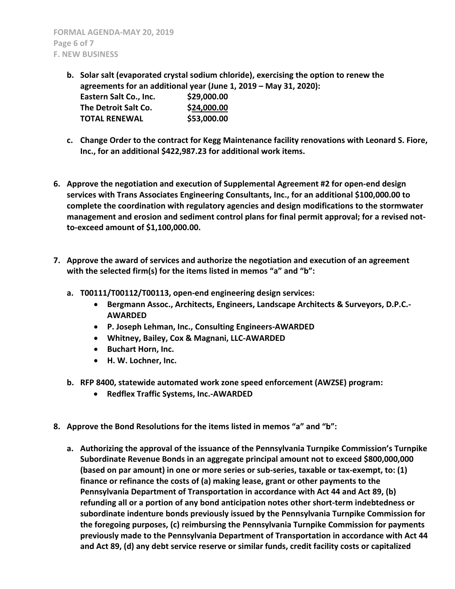- **b. Solar salt (evaporated crystal sodium chloride), exercising the option to renew the agreements for an additional year (June 1, 2019 – May 31, 2020): Eastern Salt Co., Inc. \$29,000.00 The Detroit Salt Co. \$24,000.00 TOTAL RENEWAL \$53,000.00**
- **c. Change Order to the contract for Kegg Maintenance facility renovations with Leonard S. Fiore, Inc., for an additional \$422,987.23 for additional work items.**
- **6. Approve the negotiation and execution of Supplemental Agreement #2 for open-end design services with Trans Associates Engineering Consultants, Inc., for an additional \$100,000.00 to complete the coordination with regulatory agencies and design modifications to the stormwater management and erosion and sediment control plans for final permit approval; for a revised notto-exceed amount of \$1,100,000.00.**
- **7. Approve the award of services and authorize the negotiation and execution of an agreement with the selected firm(s) for the items listed in memos "a" and "b":**
	- **a. T00111/T00112/T00113, open-end engineering design services:**
		- **Bergmann Assoc., Architects, Engineers, Landscape Architects & Surveyors, D.P.C.- AWARDED**
		- **P. Joseph Lehman, Inc., Consulting Engineers-AWARDED**
		- **Whitney, Bailey, Cox & Magnani, LLC-AWARDED**
		- **•** Buchart Horn, Inc.
		- **H. W. Lochner, Inc.**
	- **b. RFP 8400, statewide automated work zone speed enforcement (AWZSE) program:**
		- **Redflex Traffic Systems, Inc.-AWARDED**
- **8. Approve the Bond Resolutions for the items listed in memos "a" and "b":**
	- **a. Authorizing the approval of the issuance of the Pennsylvania Turnpike Commission's Turnpike Subordinate Revenue Bonds in an aggregate principal amount not to exceed \$800,000,000 (based on par amount) in one or more series or sub-series, taxable or tax-exempt, to: (1) finance or refinance the costs of (a) making lease, grant or other payments to the Pennsylvania Department of Transportation in accordance with Act 44 and Act 89, (b) refunding all or a portion of any bond anticipation notes other short-term indebtedness or subordinate indenture bonds previously issued by the Pennsylvania Turnpike Commission for the foregoing purposes, (c) reimbursing the Pennsylvania Turnpike Commission for payments previously made to the Pennsylvania Department of Transportation in accordance with Act 44 and Act 89, (d) any debt service reserve or similar funds, credit facility costs or capitalized**